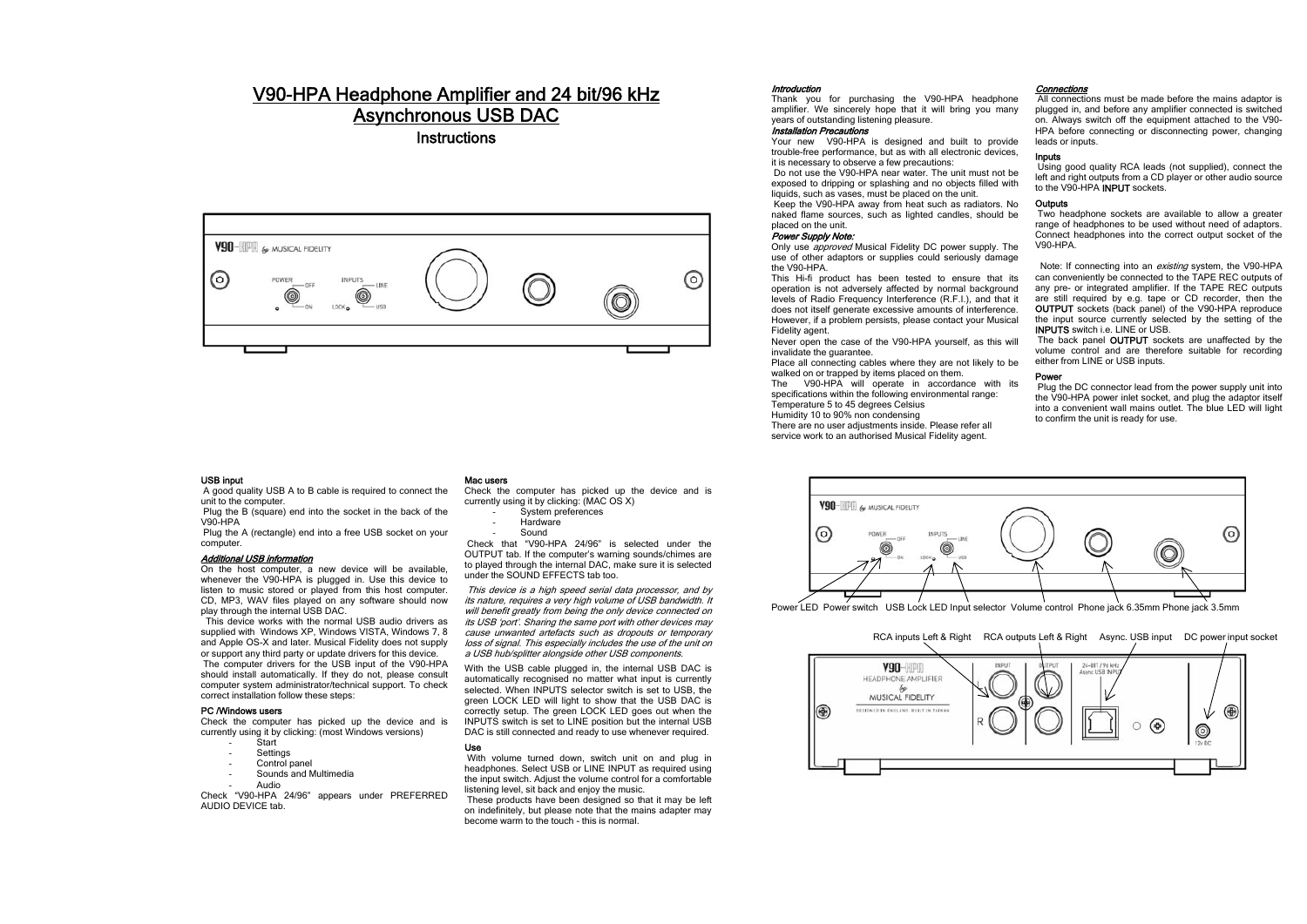## V90-HPA Headphone Amplifier and 24 bit/96 kHz Asynchronous USB DAC

**Instructions** 



## USB input

A good quality USB A to B cable is required to connect the unit to the computer.

Plug the B (square) end into the socket in the back of the V90-HPA

 Plug the A (rectangle) end into a free USB socket on your computer.

#### Additional USB information

On the host computer, a new device will be available, whenever the V90-HPA is plugged in. Use this device to listen to music stored or played from this host computer. CD, MP3, WAV files played on any software should now play through the internal USB DAC.

 This device works with the normal USB audio drivers as supplied with Windows XP, Windows VISTA, Windows 7, 8 and Apple OS-X and later. Musical Fidelity does not supply or support any third party or update drivers for this device. The computer drivers for the USB input of the V90-HPA should install automatically. If they do not, please consult computer system administrator/technical support. To check correct installation follow these steps:

#### PC /Windows users

Check the computer has picked up the device and is currently using it by clicking: (most Windows versions)

- Start
- **Settings** 
	- Control panel
- Sounds and Multimedia
- Audio

Check "V90-HPA 24/96" appears under PREFERRED AUDIO DEVICE tab.

## Mac users

Check the computer has picked up the device and is currently using it by clicking: (MAC OS X) System preferences

Hardware

Sound

 Check that "V90-HPA 24/96" is selected under the OUTPUT tab. If the computer's warning sounds/chimes are to played through the internal DAC, make sure it is selected under the SOUND EFFECTS tab too.

This device is a high speed serial data processor, and by its nature, requires a very high volume of USB bandwidth. It will benefit greatly from being the only device connected on its USB 'port'. Sharing the same port with other devices may cause unwanted artefacts such as dropouts or temporary loss of signal. This especially includes the use of the unit on a USB hub/splitter alongside other USB components.

With the USB cable plugged in, the internal USB DAC is automatically recognised no matter what input is currently selected. When INPUTS selector switch is set to USB, the green LOCK LED will light to show that the USB DAC is correctly setup. The green LOCK LED goes out when the INPUTS switch is set to LINE position but the internal USB DAC is still connected and ready to use whenever required.

## Use

 With volume turned down, switch unit on and plug in headphones. Select USB or LINE INPUT as required using the input switch. Adjust the volume control for a comfortable listening level, sit back and enjoy the music.

 These products have been designed so that it may be left on indefinitely, but please note that the mains adapter may become warm to the touch - this is normal.

#### Introduction

 Thank you for purchasing the V90-HPA headphone amplifier. We sincerely hope that it will bring you many years of outstanding listening pleasure.

## Installation Precautions

 Your new V90-HPA is designed and built to provide trouble-free performance, but as with all electronic devices, it is necessary to observe a few precautions:

 Do not use the V90-HPA near water. The unit must not be exposed to dripping or splashing and no objects filled with liquids, such as vases, must be placed on the unit.

 Keep the V90-HPA away from heat such as radiators. No naked flame sources, such as lighted candles, should be placed on the unit.

#### Power Supply Note:

Only use *approved* Musical Fidelity DC power supply. The use of other adaptors or supplies could seriously damage the V90-HPA.

 This Hi-fi product has been tested to ensure that its operation is not adversely affected by normal background levels of Radio Frequency Interference (R.F.I.), and that it does not itself generate excessive amounts of interference. However, if a problem persists, please contact your Musical Fidelity agent.

Never open the case of the V90-HPA yourself, as this will invalidate the guarantee.

Place all connecting cables where they are not likely to be walked on or trapped by items placed on them.

The V90-HPA will operate in accordance with its specifications within the following environmental range: Temperature 5 to 45 degrees Celsius

Humidity 10 to 90% non condensing

There are no user adjustments inside. Please refer all

service work to an authorised Musical Fidelity agent.

## Connections

All connections must be made before the mains adaptor is plugged in, and before any amplifier connected is switched on. Always switch off the equipment attached to the V90- HPA before connecting or disconnecting power, changing leads or inputs.

## Inputs

Using good quality RCA leads (not supplied), connect the left and right outputs from a CD player or other audio source to the V90-HPA **INPUT** sockets.

## **Outputs**

 Two headphone sockets are available to allow a greater range of headphones to be used without need of adaptors. Connect headphones into the correct output socket of the V90-HPA.

Note: If connecting into an *existing* system, the V90-HPA can conveniently be connected to the TAPE REC outputs of any pre- or integrated amplifier. If the TAPE REC outputs are still required by e.g. tape or CD recorder, then the OUTPUT sockets (back panel) of the V90-HPA reproduce the input source currently selected by the setting of the INPUTS switch i.e. LINE or USB.

The back panel **OUTPUT** sockets are unaffected by the volume control and are therefore suitable for recording either from LINE or USB inputs.

### Power

 Plug the DC connector lead from the power supply unit into the V90-HPA power inlet socket, and plug the adaptor itself into a convenient wall mains outlet. The blue LED will light to confirm the unit is ready for use.



Power LED Power switch USB Lock LED Input selector Volume control Phone jack 6.35mm Phone jack 3.5mm

## RCA inputs Left & Right RCA outputs Left & Right Async. USB input DC power input socket